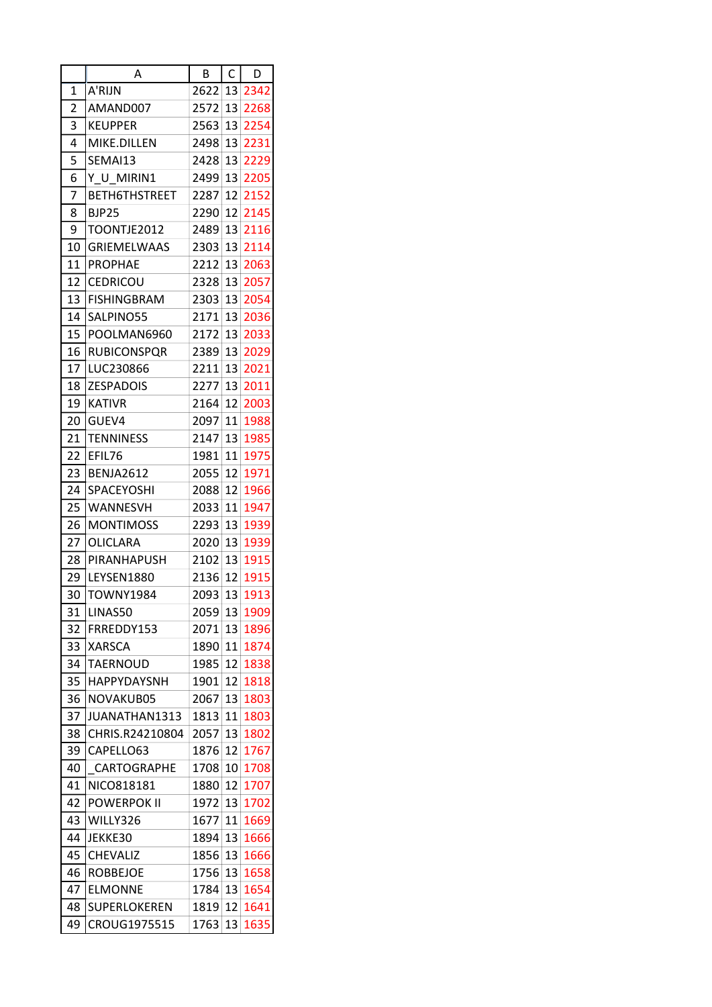| 2622<br>A'RIJN<br>13 2342<br>1<br>2<br>AMAND007<br>2572<br>13<br>2268<br>3<br><b>KEUPPER</b><br>13<br>2254<br>2563<br>4<br>MIKE.DILLEN<br>2498<br>13<br>2231<br>5<br>13<br>SEMAI13<br>2428<br>2229<br>6<br>Y U MIRIN1<br>13<br>2205<br>2499<br>7<br>2152<br><b>BETH6THSTREET</b><br>2287<br>12<br>8<br>2145<br><b>BJP25</b><br>2290<br>12<br>9<br>TOONTJE2012<br>13<br>2116<br>2489<br>10<br>13<br><b>GRIEMELWAAS</b><br>2303<br>2114<br>11<br><b>PROPHAE</b><br>13<br>2063<br>2212<br>12<br>13<br>2057<br><b>CEDRICOU</b><br>2328<br>13<br><b>FISHINGBRAM</b><br>2303<br>13<br>2054<br>14<br>SALPINO55<br>2171<br>13<br>2036<br>15<br>13<br>POOLMAN6960<br>2172<br>2033<br>16<br><b>RUBICONSPQR</b><br>2389<br>13<br>2029<br>17<br>LUC230866<br>2211<br>13<br>2021<br>18<br><b>ZESPADOIS</b><br>13<br>2011<br>2277<br>19<br><b>KATIVR</b><br>12<br>2003<br>2164<br>20<br>1988<br>GUEV4<br>2097<br>11<br>21<br>TENNINESS<br>2147<br>13<br>1985<br>22<br>EFIL76<br>11<br>1981<br>1975<br>23<br><b>BENJA2612</b><br>2055<br>12<br>1971<br>24<br><b>SPACEYOSHI</b><br>12<br>1966<br>2088<br>25<br>WANNESVH<br>11<br>1947<br>2033<br>26<br>1939<br><b>MONTIMOSS</b><br>2293<br>13<br>27<br>1939<br>OLICLARA<br>2020<br>13<br>28<br>PIRANHAPUSH<br>13<br>1915<br>2102<br>29<br>LEYSEN1880<br>12<br>1915<br>2136<br>13<br>1913<br>30<br><b>TOWNY1984</b><br>2093<br>31<br>LINAS50<br>2059 13<br>1909<br>32<br>FRREDDY153<br>13<br>1896<br>2071<br>1890<br>11<br>1874<br>33<br><b>XARSCA</b><br>34<br><b>TAERNOUD</b><br>1985<br>12<br>1838<br>35<br><b>HAPPYDAYSNH</b><br>1818<br>1901<br>12<br>36<br>NOVAKUB05<br>13<br>1803<br>2067<br>37<br>JUANATHAN1313<br>1813<br>11<br>1803<br>38<br>CHRIS.R24210804<br>2057<br>13<br>1802<br>39<br>1767<br>CAPELLO63<br>1876<br>12<br>40<br>CARTOGRAPHE<br>10<br>1708<br>1708<br>41<br>12<br>1707<br>NICO818181<br>1880<br>42<br><b>POWERPOK II</b><br>13<br>1972<br>1702<br>43<br>WILLY326<br>1677<br>$11\,$<br>1669<br>44<br>JEKKE30<br>1666<br>1894 13<br>45<br><b>CHEVALIZ</b><br>1856 13<br>1666<br>46<br>1756<br>13<br>1658<br><b>ROBBEJOE</b><br>47<br><b>ELMONNE</b><br>1784 13<br>1654<br>48<br>SUPERLOKEREN<br>1819<br>12<br>1641 |    | Α            | B    | $\mathsf{C}$ | D    |
|-------------------------------------------------------------------------------------------------------------------------------------------------------------------------------------------------------------------------------------------------------------------------------------------------------------------------------------------------------------------------------------------------------------------------------------------------------------------------------------------------------------------------------------------------------------------------------------------------------------------------------------------------------------------------------------------------------------------------------------------------------------------------------------------------------------------------------------------------------------------------------------------------------------------------------------------------------------------------------------------------------------------------------------------------------------------------------------------------------------------------------------------------------------------------------------------------------------------------------------------------------------------------------------------------------------------------------------------------------------------------------------------------------------------------------------------------------------------------------------------------------------------------------------------------------------------------------------------------------------------------------------------------------------------------------------------------------------------------------------------------------------------------------------------------------------------------------------------------------------------------------------------------------------------------------------------------------------------------------------------------------------------------------------------------------------------------------------------------------------------------------------------------------------------------------|----|--------------|------|--------------|------|
|                                                                                                                                                                                                                                                                                                                                                                                                                                                                                                                                                                                                                                                                                                                                                                                                                                                                                                                                                                                                                                                                                                                                                                                                                                                                                                                                                                                                                                                                                                                                                                                                                                                                                                                                                                                                                                                                                                                                                                                                                                                                                                                                                                               |    |              |      |              |      |
|                                                                                                                                                                                                                                                                                                                                                                                                                                                                                                                                                                                                                                                                                                                                                                                                                                                                                                                                                                                                                                                                                                                                                                                                                                                                                                                                                                                                                                                                                                                                                                                                                                                                                                                                                                                                                                                                                                                                                                                                                                                                                                                                                                               |    |              |      |              |      |
|                                                                                                                                                                                                                                                                                                                                                                                                                                                                                                                                                                                                                                                                                                                                                                                                                                                                                                                                                                                                                                                                                                                                                                                                                                                                                                                                                                                                                                                                                                                                                                                                                                                                                                                                                                                                                                                                                                                                                                                                                                                                                                                                                                               |    |              |      |              |      |
|                                                                                                                                                                                                                                                                                                                                                                                                                                                                                                                                                                                                                                                                                                                                                                                                                                                                                                                                                                                                                                                                                                                                                                                                                                                                                                                                                                                                                                                                                                                                                                                                                                                                                                                                                                                                                                                                                                                                                                                                                                                                                                                                                                               |    |              |      |              |      |
|                                                                                                                                                                                                                                                                                                                                                                                                                                                                                                                                                                                                                                                                                                                                                                                                                                                                                                                                                                                                                                                                                                                                                                                                                                                                                                                                                                                                                                                                                                                                                                                                                                                                                                                                                                                                                                                                                                                                                                                                                                                                                                                                                                               |    |              |      |              |      |
|                                                                                                                                                                                                                                                                                                                                                                                                                                                                                                                                                                                                                                                                                                                                                                                                                                                                                                                                                                                                                                                                                                                                                                                                                                                                                                                                                                                                                                                                                                                                                                                                                                                                                                                                                                                                                                                                                                                                                                                                                                                                                                                                                                               |    |              |      |              |      |
|                                                                                                                                                                                                                                                                                                                                                                                                                                                                                                                                                                                                                                                                                                                                                                                                                                                                                                                                                                                                                                                                                                                                                                                                                                                                                                                                                                                                                                                                                                                                                                                                                                                                                                                                                                                                                                                                                                                                                                                                                                                                                                                                                                               |    |              |      |              |      |
|                                                                                                                                                                                                                                                                                                                                                                                                                                                                                                                                                                                                                                                                                                                                                                                                                                                                                                                                                                                                                                                                                                                                                                                                                                                                                                                                                                                                                                                                                                                                                                                                                                                                                                                                                                                                                                                                                                                                                                                                                                                                                                                                                                               |    |              |      |              |      |
|                                                                                                                                                                                                                                                                                                                                                                                                                                                                                                                                                                                                                                                                                                                                                                                                                                                                                                                                                                                                                                                                                                                                                                                                                                                                                                                                                                                                                                                                                                                                                                                                                                                                                                                                                                                                                                                                                                                                                                                                                                                                                                                                                                               |    |              |      |              |      |
|                                                                                                                                                                                                                                                                                                                                                                                                                                                                                                                                                                                                                                                                                                                                                                                                                                                                                                                                                                                                                                                                                                                                                                                                                                                                                                                                                                                                                                                                                                                                                                                                                                                                                                                                                                                                                                                                                                                                                                                                                                                                                                                                                                               |    |              |      |              |      |
|                                                                                                                                                                                                                                                                                                                                                                                                                                                                                                                                                                                                                                                                                                                                                                                                                                                                                                                                                                                                                                                                                                                                                                                                                                                                                                                                                                                                                                                                                                                                                                                                                                                                                                                                                                                                                                                                                                                                                                                                                                                                                                                                                                               |    |              |      |              |      |
|                                                                                                                                                                                                                                                                                                                                                                                                                                                                                                                                                                                                                                                                                                                                                                                                                                                                                                                                                                                                                                                                                                                                                                                                                                                                                                                                                                                                                                                                                                                                                                                                                                                                                                                                                                                                                                                                                                                                                                                                                                                                                                                                                                               |    |              |      |              |      |
|                                                                                                                                                                                                                                                                                                                                                                                                                                                                                                                                                                                                                                                                                                                                                                                                                                                                                                                                                                                                                                                                                                                                                                                                                                                                                                                                                                                                                                                                                                                                                                                                                                                                                                                                                                                                                                                                                                                                                                                                                                                                                                                                                                               |    |              |      |              |      |
|                                                                                                                                                                                                                                                                                                                                                                                                                                                                                                                                                                                                                                                                                                                                                                                                                                                                                                                                                                                                                                                                                                                                                                                                                                                                                                                                                                                                                                                                                                                                                                                                                                                                                                                                                                                                                                                                                                                                                                                                                                                                                                                                                                               |    |              |      |              |      |
|                                                                                                                                                                                                                                                                                                                                                                                                                                                                                                                                                                                                                                                                                                                                                                                                                                                                                                                                                                                                                                                                                                                                                                                                                                                                                                                                                                                                                                                                                                                                                                                                                                                                                                                                                                                                                                                                                                                                                                                                                                                                                                                                                                               |    |              |      |              |      |
|                                                                                                                                                                                                                                                                                                                                                                                                                                                                                                                                                                                                                                                                                                                                                                                                                                                                                                                                                                                                                                                                                                                                                                                                                                                                                                                                                                                                                                                                                                                                                                                                                                                                                                                                                                                                                                                                                                                                                                                                                                                                                                                                                                               |    |              |      |              |      |
|                                                                                                                                                                                                                                                                                                                                                                                                                                                                                                                                                                                                                                                                                                                                                                                                                                                                                                                                                                                                                                                                                                                                                                                                                                                                                                                                                                                                                                                                                                                                                                                                                                                                                                                                                                                                                                                                                                                                                                                                                                                                                                                                                                               |    |              |      |              |      |
|                                                                                                                                                                                                                                                                                                                                                                                                                                                                                                                                                                                                                                                                                                                                                                                                                                                                                                                                                                                                                                                                                                                                                                                                                                                                                                                                                                                                                                                                                                                                                                                                                                                                                                                                                                                                                                                                                                                                                                                                                                                                                                                                                                               |    |              |      |              |      |
|                                                                                                                                                                                                                                                                                                                                                                                                                                                                                                                                                                                                                                                                                                                                                                                                                                                                                                                                                                                                                                                                                                                                                                                                                                                                                                                                                                                                                                                                                                                                                                                                                                                                                                                                                                                                                                                                                                                                                                                                                                                                                                                                                                               |    |              |      |              |      |
|                                                                                                                                                                                                                                                                                                                                                                                                                                                                                                                                                                                                                                                                                                                                                                                                                                                                                                                                                                                                                                                                                                                                                                                                                                                                                                                                                                                                                                                                                                                                                                                                                                                                                                                                                                                                                                                                                                                                                                                                                                                                                                                                                                               |    |              |      |              |      |
|                                                                                                                                                                                                                                                                                                                                                                                                                                                                                                                                                                                                                                                                                                                                                                                                                                                                                                                                                                                                                                                                                                                                                                                                                                                                                                                                                                                                                                                                                                                                                                                                                                                                                                                                                                                                                                                                                                                                                                                                                                                                                                                                                                               |    |              |      |              |      |
|                                                                                                                                                                                                                                                                                                                                                                                                                                                                                                                                                                                                                                                                                                                                                                                                                                                                                                                                                                                                                                                                                                                                                                                                                                                                                                                                                                                                                                                                                                                                                                                                                                                                                                                                                                                                                                                                                                                                                                                                                                                                                                                                                                               |    |              |      |              |      |
|                                                                                                                                                                                                                                                                                                                                                                                                                                                                                                                                                                                                                                                                                                                                                                                                                                                                                                                                                                                                                                                                                                                                                                                                                                                                                                                                                                                                                                                                                                                                                                                                                                                                                                                                                                                                                                                                                                                                                                                                                                                                                                                                                                               |    |              |      |              |      |
|                                                                                                                                                                                                                                                                                                                                                                                                                                                                                                                                                                                                                                                                                                                                                                                                                                                                                                                                                                                                                                                                                                                                                                                                                                                                                                                                                                                                                                                                                                                                                                                                                                                                                                                                                                                                                                                                                                                                                                                                                                                                                                                                                                               |    |              |      |              |      |
|                                                                                                                                                                                                                                                                                                                                                                                                                                                                                                                                                                                                                                                                                                                                                                                                                                                                                                                                                                                                                                                                                                                                                                                                                                                                                                                                                                                                                                                                                                                                                                                                                                                                                                                                                                                                                                                                                                                                                                                                                                                                                                                                                                               |    |              |      |              |      |
|                                                                                                                                                                                                                                                                                                                                                                                                                                                                                                                                                                                                                                                                                                                                                                                                                                                                                                                                                                                                                                                                                                                                                                                                                                                                                                                                                                                                                                                                                                                                                                                                                                                                                                                                                                                                                                                                                                                                                                                                                                                                                                                                                                               |    |              |      |              |      |
|                                                                                                                                                                                                                                                                                                                                                                                                                                                                                                                                                                                                                                                                                                                                                                                                                                                                                                                                                                                                                                                                                                                                                                                                                                                                                                                                                                                                                                                                                                                                                                                                                                                                                                                                                                                                                                                                                                                                                                                                                                                                                                                                                                               |    |              |      |              |      |
|                                                                                                                                                                                                                                                                                                                                                                                                                                                                                                                                                                                                                                                                                                                                                                                                                                                                                                                                                                                                                                                                                                                                                                                                                                                                                                                                                                                                                                                                                                                                                                                                                                                                                                                                                                                                                                                                                                                                                                                                                                                                                                                                                                               |    |              |      |              |      |
|                                                                                                                                                                                                                                                                                                                                                                                                                                                                                                                                                                                                                                                                                                                                                                                                                                                                                                                                                                                                                                                                                                                                                                                                                                                                                                                                                                                                                                                                                                                                                                                                                                                                                                                                                                                                                                                                                                                                                                                                                                                                                                                                                                               |    |              |      |              |      |
|                                                                                                                                                                                                                                                                                                                                                                                                                                                                                                                                                                                                                                                                                                                                                                                                                                                                                                                                                                                                                                                                                                                                                                                                                                                                                                                                                                                                                                                                                                                                                                                                                                                                                                                                                                                                                                                                                                                                                                                                                                                                                                                                                                               |    |              |      |              |      |
|                                                                                                                                                                                                                                                                                                                                                                                                                                                                                                                                                                                                                                                                                                                                                                                                                                                                                                                                                                                                                                                                                                                                                                                                                                                                                                                                                                                                                                                                                                                                                                                                                                                                                                                                                                                                                                                                                                                                                                                                                                                                                                                                                                               |    |              |      |              |      |
|                                                                                                                                                                                                                                                                                                                                                                                                                                                                                                                                                                                                                                                                                                                                                                                                                                                                                                                                                                                                                                                                                                                                                                                                                                                                                                                                                                                                                                                                                                                                                                                                                                                                                                                                                                                                                                                                                                                                                                                                                                                                                                                                                                               |    |              |      |              |      |
|                                                                                                                                                                                                                                                                                                                                                                                                                                                                                                                                                                                                                                                                                                                                                                                                                                                                                                                                                                                                                                                                                                                                                                                                                                                                                                                                                                                                                                                                                                                                                                                                                                                                                                                                                                                                                                                                                                                                                                                                                                                                                                                                                                               |    |              |      |              |      |
|                                                                                                                                                                                                                                                                                                                                                                                                                                                                                                                                                                                                                                                                                                                                                                                                                                                                                                                                                                                                                                                                                                                                                                                                                                                                                                                                                                                                                                                                                                                                                                                                                                                                                                                                                                                                                                                                                                                                                                                                                                                                                                                                                                               |    |              |      |              |      |
|                                                                                                                                                                                                                                                                                                                                                                                                                                                                                                                                                                                                                                                                                                                                                                                                                                                                                                                                                                                                                                                                                                                                                                                                                                                                                                                                                                                                                                                                                                                                                                                                                                                                                                                                                                                                                                                                                                                                                                                                                                                                                                                                                                               |    |              |      |              |      |
|                                                                                                                                                                                                                                                                                                                                                                                                                                                                                                                                                                                                                                                                                                                                                                                                                                                                                                                                                                                                                                                                                                                                                                                                                                                                                                                                                                                                                                                                                                                                                                                                                                                                                                                                                                                                                                                                                                                                                                                                                                                                                                                                                                               |    |              |      |              |      |
|                                                                                                                                                                                                                                                                                                                                                                                                                                                                                                                                                                                                                                                                                                                                                                                                                                                                                                                                                                                                                                                                                                                                                                                                                                                                                                                                                                                                                                                                                                                                                                                                                                                                                                                                                                                                                                                                                                                                                                                                                                                                                                                                                                               |    |              |      |              |      |
|                                                                                                                                                                                                                                                                                                                                                                                                                                                                                                                                                                                                                                                                                                                                                                                                                                                                                                                                                                                                                                                                                                                                                                                                                                                                                                                                                                                                                                                                                                                                                                                                                                                                                                                                                                                                                                                                                                                                                                                                                                                                                                                                                                               |    |              |      |              |      |
|                                                                                                                                                                                                                                                                                                                                                                                                                                                                                                                                                                                                                                                                                                                                                                                                                                                                                                                                                                                                                                                                                                                                                                                                                                                                                                                                                                                                                                                                                                                                                                                                                                                                                                                                                                                                                                                                                                                                                                                                                                                                                                                                                                               |    |              |      |              |      |
|                                                                                                                                                                                                                                                                                                                                                                                                                                                                                                                                                                                                                                                                                                                                                                                                                                                                                                                                                                                                                                                                                                                                                                                                                                                                                                                                                                                                                                                                                                                                                                                                                                                                                                                                                                                                                                                                                                                                                                                                                                                                                                                                                                               |    |              |      |              |      |
|                                                                                                                                                                                                                                                                                                                                                                                                                                                                                                                                                                                                                                                                                                                                                                                                                                                                                                                                                                                                                                                                                                                                                                                                                                                                                                                                                                                                                                                                                                                                                                                                                                                                                                                                                                                                                                                                                                                                                                                                                                                                                                                                                                               |    |              |      |              |      |
|                                                                                                                                                                                                                                                                                                                                                                                                                                                                                                                                                                                                                                                                                                                                                                                                                                                                                                                                                                                                                                                                                                                                                                                                                                                                                                                                                                                                                                                                                                                                                                                                                                                                                                                                                                                                                                                                                                                                                                                                                                                                                                                                                                               |    |              |      |              |      |
|                                                                                                                                                                                                                                                                                                                                                                                                                                                                                                                                                                                                                                                                                                                                                                                                                                                                                                                                                                                                                                                                                                                                                                                                                                                                                                                                                                                                                                                                                                                                                                                                                                                                                                                                                                                                                                                                                                                                                                                                                                                                                                                                                                               |    |              |      |              |      |
|                                                                                                                                                                                                                                                                                                                                                                                                                                                                                                                                                                                                                                                                                                                                                                                                                                                                                                                                                                                                                                                                                                                                                                                                                                                                                                                                                                                                                                                                                                                                                                                                                                                                                                                                                                                                                                                                                                                                                                                                                                                                                                                                                                               |    |              |      |              |      |
|                                                                                                                                                                                                                                                                                                                                                                                                                                                                                                                                                                                                                                                                                                                                                                                                                                                                                                                                                                                                                                                                                                                                                                                                                                                                                                                                                                                                                                                                                                                                                                                                                                                                                                                                                                                                                                                                                                                                                                                                                                                                                                                                                                               |    |              |      |              |      |
|                                                                                                                                                                                                                                                                                                                                                                                                                                                                                                                                                                                                                                                                                                                                                                                                                                                                                                                                                                                                                                                                                                                                                                                                                                                                                                                                                                                                                                                                                                                                                                                                                                                                                                                                                                                                                                                                                                                                                                                                                                                                                                                                                                               |    |              |      |              |      |
|                                                                                                                                                                                                                                                                                                                                                                                                                                                                                                                                                                                                                                                                                                                                                                                                                                                                                                                                                                                                                                                                                                                                                                                                                                                                                                                                                                                                                                                                                                                                                                                                                                                                                                                                                                                                                                                                                                                                                                                                                                                                                                                                                                               |    |              |      |              |      |
|                                                                                                                                                                                                                                                                                                                                                                                                                                                                                                                                                                                                                                                                                                                                                                                                                                                                                                                                                                                                                                                                                                                                                                                                                                                                                                                                                                                                                                                                                                                                                                                                                                                                                                                                                                                                                                                                                                                                                                                                                                                                                                                                                                               |    |              |      |              |      |
|                                                                                                                                                                                                                                                                                                                                                                                                                                                                                                                                                                                                                                                                                                                                                                                                                                                                                                                                                                                                                                                                                                                                                                                                                                                                                                                                                                                                                                                                                                                                                                                                                                                                                                                                                                                                                                                                                                                                                                                                                                                                                                                                                                               | 49 | CROUG1975515 | 1763 | 13           | 1635 |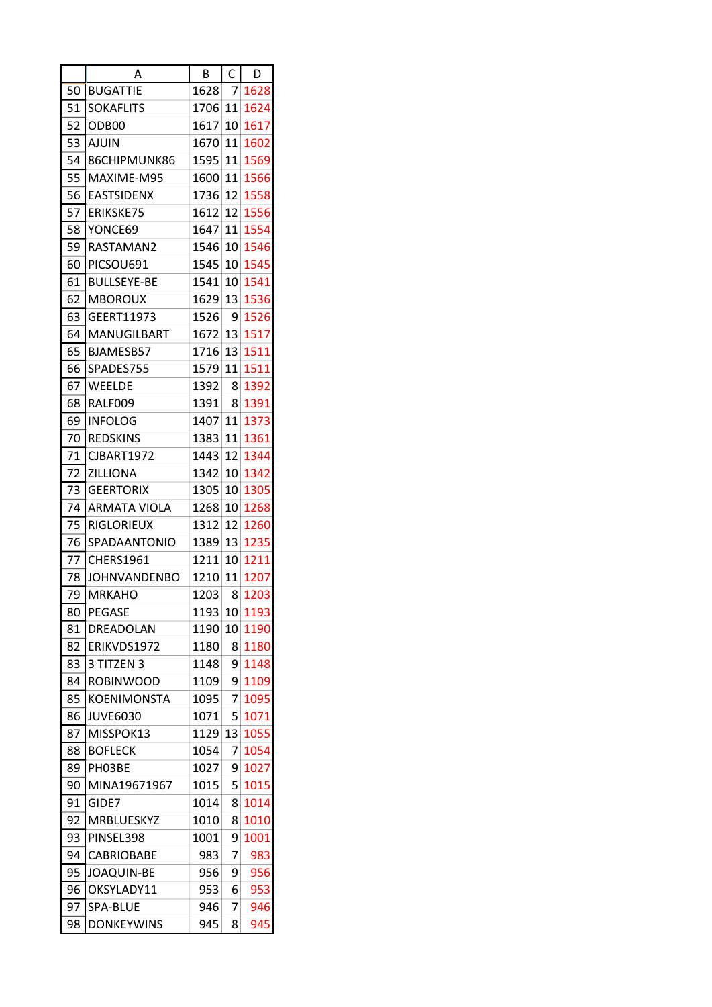|    | Α                   | B    | $\mathsf{C}$    | D    |
|----|---------------------|------|-----------------|------|
| 50 | <b>BUGATTIE</b>     | 1628 | 7               | 1628 |
| 51 | <b>SOKAFLITS</b>    | 1706 | 11              | 1624 |
| 52 | ODB <sub>00</sub>   | 1617 | 10              | 1617 |
| 53 | <b>AJUIN</b>        | 1670 | 11              | 1602 |
| 54 | 86CHIPMUNK86        | 1595 | 11              | 1569 |
| 55 | MAXIME-M95          | 1600 | 11              | 1566 |
| 56 | <b>EASTSIDENX</b>   | 1736 | 12              | 1558 |
| 57 | <b>ERIKSKE75</b>    | 1612 | 12              | 1556 |
| 58 | YONCE69             | 1647 | 11              | 1554 |
| 59 | RASTAMAN2           | 1546 | 10              | 1546 |
| 60 | PICSOU691           | 1545 | 10              | 1545 |
| 61 | <b>BULLSEYE-BE</b>  | 1541 | 10              | 1541 |
| 62 | <b>MBOROUX</b>      | 1629 | 13              | 1536 |
| 63 | GEERT11973          | 1526 | 9               | 1526 |
| 64 | MANUGILBART         | 1672 | 13              | 1517 |
| 65 | BJAMESB57           | 1716 | 13              | 1511 |
| 66 | SPADES755           | 1579 | 11              | 1511 |
| 67 | <b>WEELDE</b>       | 1392 | 8               | 1392 |
| 68 | RALF009             | 1391 | 8               | 1391 |
| 69 | <b>INFOLOG</b>      | 1407 | 11              | 1373 |
| 70 | <b>REDSKINS</b>     | 1383 | 11              | 1361 |
| 71 | <b>CJBART1972</b>   | 1443 | 12              | 1344 |
| 72 | <b>ZILLIONA</b>     | 1342 | 10              | 1342 |
| 73 | <b>GEERTORIX</b>    | 1305 | 10              | 1305 |
| 74 | ARMATA VIOLA        | 1268 | 10              | 1268 |
| 75 | <b>RIGLORIEUX</b>   | 1312 | 12              | 1260 |
| 76 | SPADAANTONIO        | 1389 | 13              | 1235 |
| 77 | <b>CHERS1961</b>    | 1211 | 10              | 1211 |
| 78 | <b>JOHNVANDENBO</b> | 1210 | 11              | 1207 |
| 79 | <b>MRKAHO</b>       | 1203 | 8               | 1203 |
| 80 | <b>PEGASE</b>       | 1193 | 10 <sub>1</sub> | 1193 |
| 81 | DREADOLAN           | 1190 | 10              | 1190 |
| 82 | ERIKVDS1972         | 1180 | 8               | 1180 |
| 83 | 3 TITZEN 3          | 1148 | 9               | 1148 |
| 84 | <b>ROBINWOOD</b>    | 1109 | 9               | 1109 |
| 85 | <b>KOENIMONSTA</b>  | 1095 | 7               | 1095 |
| 86 | <b>JUVE6030</b>     | 1071 | 5               | 1071 |
| 87 | MISSPOK13           | 1129 | 13              | 1055 |
| 88 | <b>BOFLECK</b>      | 1054 | 7               | 1054 |
| 89 | PH03BE              | 1027 | 9               | 1027 |
| 90 | MINA19671967        | 1015 | 5               | 1015 |
| 91 | GIDE7               | 1014 | 8               | 1014 |
| 92 | <b>MRBLUESKYZ</b>   | 1010 | 8               | 1010 |
| 93 | PINSEL398           | 1001 | 9               | 1001 |
| 94 | <b>CABRIOBABE</b>   | 983  | 7               | 983  |
| 95 | <b>JOAQUIN-BE</b>   | 956  | 9               | 956  |
| 96 | OKSYLADY11          | 953  | 6               | 953  |
| 97 | SPA-BLUE            | 946  | 7               | 946  |
| 98 | <b>DONKEYWINS</b>   | 945  | 8               | 945  |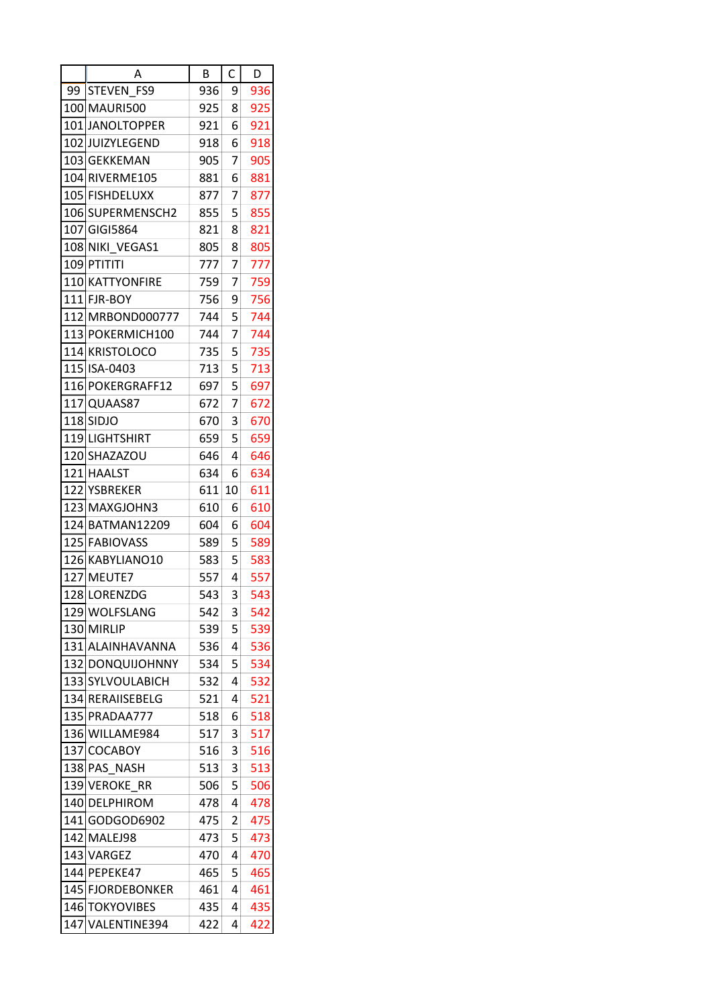|    | А                 | B   | C  | D   |
|----|-------------------|-----|----|-----|
| 99 | <b>STEVEN FS9</b> | 936 | 9  | 936 |
|    | 100 MAURI500      | 925 | 8  | 925 |
|    | 101 JANOLTOPPER   | 921 | 6  | 921 |
|    | 102 JUIZYLEGEND   | 918 | 6  | 918 |
|    | 103 GEKKEMAN      | 905 | 7  | 905 |
|    | 104 RIVERME105    | 881 | 6  | 881 |
|    | 105 FISHDELUXX    | 877 | 7  | 877 |
|    | 106 SUPERMENSCH2  | 855 | 5  | 855 |
|    | 107 GIGI5864      | 821 | 8  | 821 |
|    | 108 NIKI VEGAS1   | 805 | 8  | 805 |
|    | 109 PTITITI       | 777 | 7  | 777 |
|    | 110 KATTYONFIRE   | 759 | 7  | 759 |
|    | 111 FJR-BOY       | 756 | 9  | 756 |
|    | 112 MRBOND000777  | 744 | 5  | 744 |
|    | 113 POKERMICH100  | 744 | 7  | 744 |
|    | 114 KRISTOLOCO    | 735 | 5  | 735 |
|    | 115 ISA-0403      | 713 | 5  | 713 |
|    | 116 POKERGRAFF12  | 697 | 5  | 697 |
|    | 117 QUAAS87       | 672 | 7  | 672 |
|    | 118 SIDJO         | 670 | 3  | 670 |
|    | 119 LIGHTSHIRT    | 659 | 5  | 659 |
|    | 120 SHAZAZOU      | 646 | 4  | 646 |
|    | 121 HAALST        | 634 | 6  | 634 |
|    | 122 YSBREKER      | 611 | 10 | 611 |
|    | 123 MAXGJOHN3     | 610 | 6  | 610 |
|    | 124 BATMAN12209   | 604 | 6  | 604 |
|    | 125 FABIOVASS     | 589 | 5  | 589 |
|    | 126 KABYLIANO10   | 583 | 5  | 583 |
|    | 127 MEUTE7        | 557 | 4  | 557 |
|    | 128 LORENZDG      | 543 | 3  | 543 |
|    | 129 WOLFSLANG     | 542 | 3  | 542 |
|    | 130 MIRLIP        | 539 | 5  | 539 |
|    | 131 ALAINHAVANNA  | 536 | 4  | 536 |
|    | 132 DONQUIJOHNNY  | 534 | 5  | 534 |
|    | 133 SYLVOULABICH  | 532 | 4  | 532 |
|    | 134 RERAIISEBELG  | 521 | 4  | 521 |
|    | 135 PRADAA777     | 518 | 6  | 518 |
|    | 136 WILLAME984    | 517 | 3  | 517 |
|    | 137 COCABOY       | 516 | 3  | 516 |
|    | 138 PAS_NASH      | 513 | 3  | 513 |
|    | 139 VEROKE_RR     | 506 | 5  | 506 |
|    | 140 DELPHIROM     | 478 | 4  | 478 |
|    | 141 GODGOD6902    | 475 | 2  | 475 |
|    | 142 MALEJ98       | 473 | 5  | 473 |
|    | 143 VARGEZ        | 470 | 4  | 470 |
|    | 144 PEPEKE47      | 465 | 5  | 465 |
|    | 145 FJORDEBONKER  | 461 | 4  | 461 |
|    | 146 TOKYOVIBES    | 435 | 4  | 435 |
|    | 147 VALENTINE394  | 422 | 4  | 422 |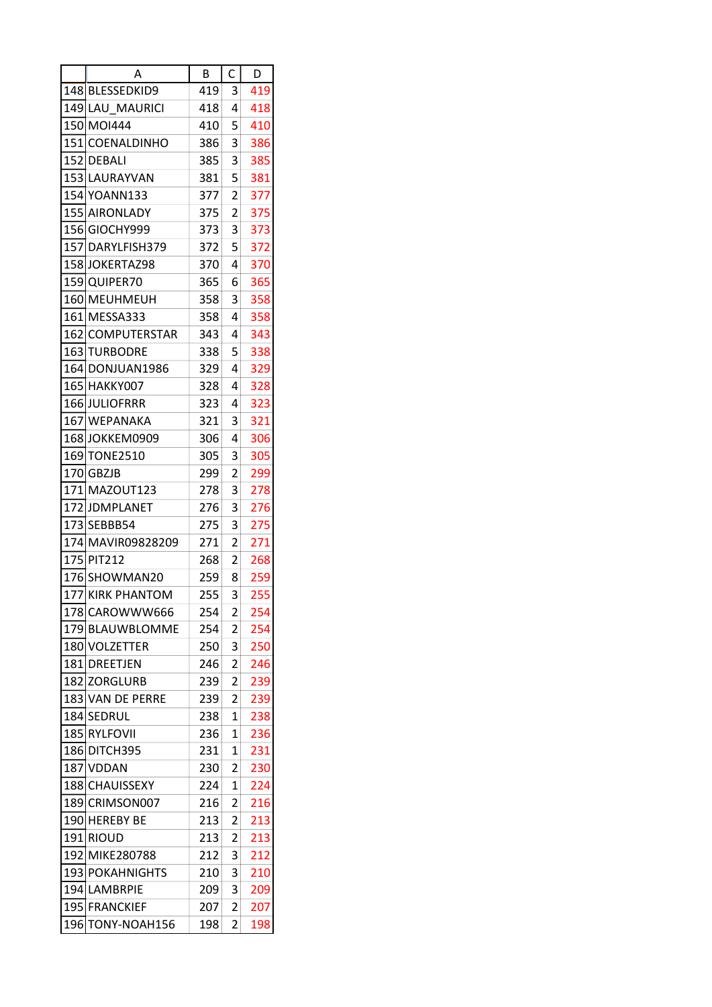|     | Α                 | В   | C              | D   |
|-----|-------------------|-----|----------------|-----|
|     | 148 BLESSEDKID9   | 419 | 3              | 419 |
|     | 149 LAU MAURICI   | 418 | 4              | 418 |
|     | 150 MOI444        | 410 | 5              | 410 |
|     | 151 COENALDINHO   | 386 | 3              | 386 |
|     | 152 DEBALI        | 385 | 3              | 385 |
|     | 153 LAURAYVAN     | 381 | 5              | 381 |
|     | 154 YOANN133      | 377 | 2              | 377 |
|     | 155 AIRONLADY     | 375 | 2              | 375 |
|     | 156 GIOCHY999     | 373 | 3              | 373 |
|     | 157 DARYLFISH379  | 372 | 5              | 372 |
|     | 158 JOKERTAZ98    | 370 | 4              | 370 |
|     | 159 QUIPER70      | 365 | 6              | 365 |
|     | 160 MEUHMEUH      | 358 | 3              | 358 |
|     | 161 MESSA333      | 358 | 4              | 358 |
|     | 162 COMPUTERSTAR  | 343 | 4              | 343 |
|     |                   |     |                |     |
|     | 163 TURBODRE      | 338 | 5<br>4         | 338 |
|     | 164 DONJUAN 1986  | 329 |                | 329 |
|     | 165 HAKKY007      | 328 | 4              | 328 |
|     | 166 JULIOFRRR     | 323 | 4              | 323 |
|     | 167 WEPANAKA      | 321 | 3              | 321 |
|     | 168 JOKKEM0909    | 306 | 4              | 306 |
|     | 169 TONE2510      | 305 | 3              | 305 |
|     | 170 GBZJB         | 299 | 2              | 299 |
|     | 171 MAZOUT123     | 278 | 3              | 278 |
|     | 172 JDMPLANET     | 276 | 3              | 276 |
|     | 173 SEBBB54       | 275 | 3              | 275 |
|     | 174 MAVIR09828209 | 271 | 2              | 271 |
|     | 175 PIT212        | 268 | 2              | 268 |
|     | 176 SHOWMAN20     | 259 | 8              | 259 |
|     | 177 KIRK PHANTOM  | 255 | 3              | 255 |
|     | 178 CAROWWW666    | 254 | $\overline{2}$ | 254 |
|     | 179 BLAUWBLOMME   | 254 | 2              | 254 |
|     | 180 VOLZETTER     | 250 | 3              | 250 |
|     | 181 DREETJEN      | 246 | 2              | 246 |
|     | 182 ZORGLURB      | 239 | 2              | 239 |
|     | 183 VAN DE PERRE  | 239 | 2              | 239 |
|     | 184 SEDRUL        | 238 | 1              | 238 |
|     | 185 RYLFOVII      | 236 | 1              | 236 |
|     | 186 DITCH395      | 231 | 1              | 231 |
|     | 187 VDDAN         | 230 | 2              | 230 |
|     | 188 CHAUISSEXY    | 224 | 1              | 224 |
|     | 189 CRIMSON007    | 216 | 2              | 216 |
|     | 190 HEREBY BE     | 213 | 2              | 213 |
|     | 191 RIOUD         | 213 | 2              | 213 |
|     | 192 MIKE280788    | 212 | 3              | 212 |
|     | 193 POKAHNIGHTS   | 210 | 3              | 210 |
|     | 194 LAMBRPIE      | 209 | 3              | 209 |
|     | 195 FRANCKIEF     | 207 | 2              | 207 |
| 196 | TONY-NOAH156      | 198 | 2              | 198 |